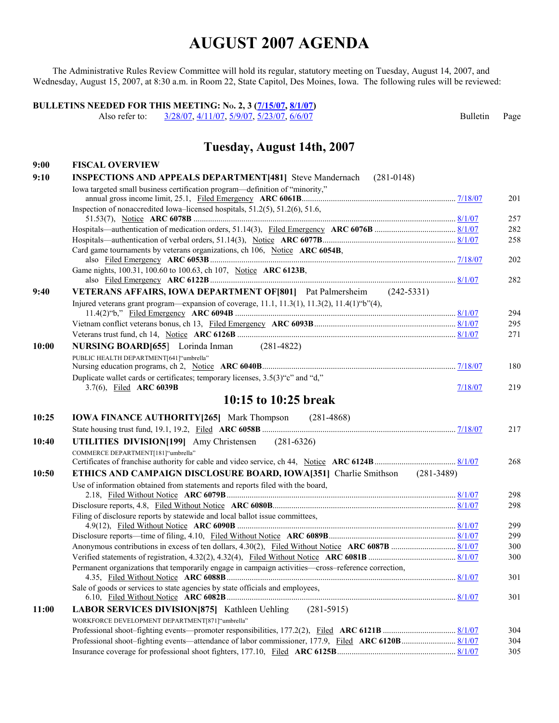The Administrative Rules Review Committee will hold its regular, statutory meeting on Tuesday, August 14, 2007, and Wednesday, August 15, 2007, at 8:30 a.m. in Room 22, State Capitol, Des Moines, Iowa. The following rules will be reviewed:

**BULLETINS NEEDED FOR THIS MEETING: No. 2, 3**  $\frac{(7/15/07, 8/1/07)}{(115/07, 8/107, 1/11/07, 5/9/07, 5/23/07, 6/6/07)}$  $\frac{(7/15/07, 8/1/07)}{(115/07, 8/107, 1/11/07, 5/9/07, 5/23/07, 6/6/07)}$  $\frac{(7/15/07, 8/1/07)}{(115/07, 8/107, 1/11/07, 5/9/07, 5/23/07, 6/6/07)}$  $\frac{(7/15/07, 8/1/07)}{(115/07, 8/107, 1/11/07, 5/9/07, 5/23/07, 6/6/07)}$ [3/28/07,](http://www.legis.state.ia.us/Rules/2007/Bulletin/IAB070328.htm) [4/11/07,](http://www.legis.state.ia.us/Rules/2007/Bulletin/IAB070411.htm) [5/9/07,](http://www.legis.state.ia.us/Rules/2007/Bulletin/IAB070509.htm) [5/23/07,](http://www.legis.state.ia.us/Rules/2007/Bulletin/IAB070523.htm) [6/6/07](http://www.legis.state.ia.us/Rules/2007/Bulletin/IAB070606.htm) Bulletin Page

### **Tuesday, August 14th, 2007**

| 9:00  | <b>FISCAL OVERVIEW</b>                                                                                     |         |     |
|-------|------------------------------------------------------------------------------------------------------------|---------|-----|
| 9:10  | <b>INSPECTIONS AND APPEALS DEPARTMENT[481] Steve Mandernach</b><br>$(281-0148)$                            |         |     |
|       | Iowa targeted small business certification program—definition of "minority,"                               |         | 201 |
|       | Inspection of nonaccredited Iowa-licensed hospitals, 51.2(5), 51.2(6), 51.6,                               |         | 257 |
|       |                                                                                                            |         | 282 |
|       |                                                                                                            |         | 258 |
|       | Card game tournaments by veterans organizations, ch 106, Notice ARC 6054B,                                 |         | 202 |
|       | Game nights, 100.31, 100.60 to 100.63, ch 107, Notice ARC 6123B,                                           |         | 282 |
| 9:40  | VETERANS AFFAIRS, IOWA DEPARTMENT OF [801] Pat Palmersheim (242-5331)                                      |         |     |
|       | Injured veterans grant program—expansion of coverage, 11.1, 11.3(1), 11.3(2), 11.4(1)"b"(4),               |         | 294 |
|       |                                                                                                            |         | 295 |
|       |                                                                                                            |         | 271 |
| 10:00 | NURSING BOARD[655] Lorinda Inman (281-4822)                                                                |         |     |
|       | PUBLIC HEALTH DEPARTMENT[641]"umbrella"                                                                    |         | 180 |
|       | Duplicate wallet cards or certificates; temporary licenses, 3.5(3) "c" and "d,"<br>3.7(6), Filed ARC 6039B | 7/18/07 | 219 |
|       | 10:15 to 10:25 break                                                                                       |         |     |
| 10:25 | <b>IOWA FINANCE AUTHORITY [265]</b> Mark Thompson (281-4868)                                               |         |     |
|       |                                                                                                            |         | 217 |
| 10:40 | UTILITIES DIVISION[199] Amy Christensen (281-6326)                                                         |         |     |
|       | COMMERCE DEPARTMENT[181] "umbrella"                                                                        |         | 268 |
| 10:50 | <b>ETHICS AND CAMPAIGN DISCLOSURE BOARD, IOWA[351]</b> Charlie Smithson (281-3489)                         |         |     |
|       | Use of information obtained from statements and reports filed with the board,                              |         |     |
|       |                                                                                                            |         | 298 |
|       |                                                                                                            |         | 298 |
|       | Filing of disclosure reports by statewide and local ballot issue committees,                               |         | 299 |
|       |                                                                                                            |         | 299 |
|       |                                                                                                            |         | 300 |
|       |                                                                                                            |         | 300 |
|       | Permanent organizations that temporarily engage in campaign activities—cross-reference correction,         |         | 301 |
|       | Sale of goods or services to state agencies by state officials and employees,                              |         | 301 |
| 11:00 | LABOR SERVICES DIVISION [875] Kathleen Uehling (281-5915)                                                  |         |     |
|       | WORKFORCE DEVELOPMENT DEPARTMENT[871]"umbrella"                                                            |         |     |
|       |                                                                                                            |         | 304 |
|       |                                                                                                            |         | 304 |
|       |                                                                                                            |         | 305 |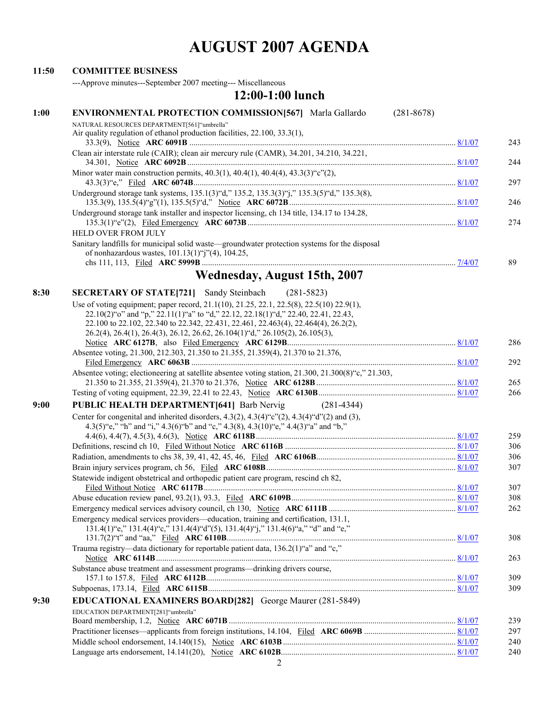#### **11:50 COMMITTEE BUSINESS**

---Approve minutes---September 2007 meeting--- Miscellaneous

### **12:00-1:00 lunch**

| 1:00 | <b>ENVIRONMENTAL PROTECTION COMMISSION[567]</b> Marla Gallardo                                                                                                              | $(281 - 8678)$ |
|------|-----------------------------------------------------------------------------------------------------------------------------------------------------------------------------|----------------|
|      | NATURAL RESOURCES DEPARTMENT[561]"umbrella"                                                                                                                                 |                |
|      | Air quality regulation of ethanol production facilities, 22.100, 33.3(1),                                                                                                   | 243            |
|      | Clean air interstate rule (CAIR); clean air mercury rule (CAMR), 34.201, 34.210, 34.221,                                                                                    |                |
|      |                                                                                                                                                                             | 244            |
|      | Minor water main construction permits, $40.3(1)$ , $40.4(1)$ , $40.4(4)$ , $43.3(3)$ "c"(2),                                                                                |                |
|      |                                                                                                                                                                             | 297            |
|      | Underground storage tank systems, 135.1(3)"d," 135.2, 135.3(3)"j," 135.3(5)"d," 135.3(8),                                                                                   |                |
|      |                                                                                                                                                                             | 246            |
|      | Underground storage tank installer and inspector licensing, ch 134 title, 134.17 to 134.28,                                                                                 | 274            |
|      | <b>HELD OVER FROM JULY</b>                                                                                                                                                  |                |
|      | Sanitary landfills for municipal solid waste—groundwater protection systems for the disposal                                                                                |                |
|      | of nonhazardous wastes, $101.13(1)$ "j"(4), $104.25$ ,                                                                                                                      |                |
|      |                                                                                                                                                                             | 89             |
|      | <b>Wednesday, August 15th, 2007</b>                                                                                                                                         |                |
| 8:30 | <b>SECRETARY OF STATE[721]</b> Sandy Steinbach<br>$(281 - 5823)$                                                                                                            |                |
|      | Use of voting equipment; paper record, 21.1(10), 21.25, 22.1, 22.5(8), 22.5(10) 22.9(1),                                                                                    |                |
|      | 22.10(2)"o" and "p," 22.11(1)"a" to "d," 22.12, 22.18(1)"d," 22.40, 22.41, 22.43,                                                                                           |                |
|      | 22.100 to 22.102, 22.340 to 22.342, 22.431, 22.461, 22.463(4), 22.464(4), 26.2(2),                                                                                          |                |
|      | 26.2(4), 26.4(1), 26.4(3), 26.12, 26.62, 26.104(1) "d," 26.105(2), 26.105(3),                                                                                               |                |
|      |                                                                                                                                                                             | 286            |
|      | Absentee voting, 21.300, 212.303, 21.350 to 21.355, 21.359(4), 21.370 to 21.376,                                                                                            |                |
|      | Absentee voting; electioneering at satellite absentee voting station, 21.300, 21.300(8) "c," 21.303,                                                                        | 292            |
|      |                                                                                                                                                                             | 265            |
|      |                                                                                                                                                                             | 266            |
| 9:00 | PUBLIC HEALTH DEPARTMENT[641] Barb Nervig<br>$(281 - 4344)$                                                                                                                 |                |
|      | Center for congenital and inherited disorders, $4.3(2)$ , $4.3(4)$ "c" $(2)$ , $4.3(4)$ "d" $(2)$ and $(3)$ ,                                                               |                |
|      | 4.3(5)"e," "h" and "i," 4.3(6)"b" and "c," 4.3(8), 4.3(10)"e," 4.4(3)"a" and "b,"                                                                                           |                |
|      |                                                                                                                                                                             | 259            |
|      |                                                                                                                                                                             | 306            |
|      |                                                                                                                                                                             | 306            |
|      |                                                                                                                                                                             | 307            |
|      | Statewide indigent obstetrical and orthopedic patient care program, rescind ch 82,                                                                                          |                |
|      |                                                                                                                                                                             | 307            |
|      |                                                                                                                                                                             | 308            |
|      |                                                                                                                                                                             | 262            |
|      | Emergency medical services providers—education, training and certification, 131.1,<br>131.4(1) "e," 131.4(4) "c," 131.4(4) "d"(5), 131.4(4) "j," 131.4(6) "a," "d" and "e," |                |
|      |                                                                                                                                                                             | 308            |
|      | Trauma registry-data dictionary for reportable patient data, 136.2(1)"a" and "c,"                                                                                           |                |
|      |                                                                                                                                                                             | 263            |
|      | Substance abuse treatment and assessment programs—drinking drivers course,                                                                                                  |                |
|      |                                                                                                                                                                             | 309            |
|      |                                                                                                                                                                             | 309            |
| 9:30 | EDUCATIONAL EXAMINERS BOARD[282] George Maurer (281-5849)                                                                                                                   |                |
|      | EDUCATION DEPARTMENT[281]"umbrella"                                                                                                                                         |                |
|      |                                                                                                                                                                             | 239            |
|      |                                                                                                                                                                             | 297            |
|      |                                                                                                                                                                             | 240            |
|      |                                                                                                                                                                             | 240            |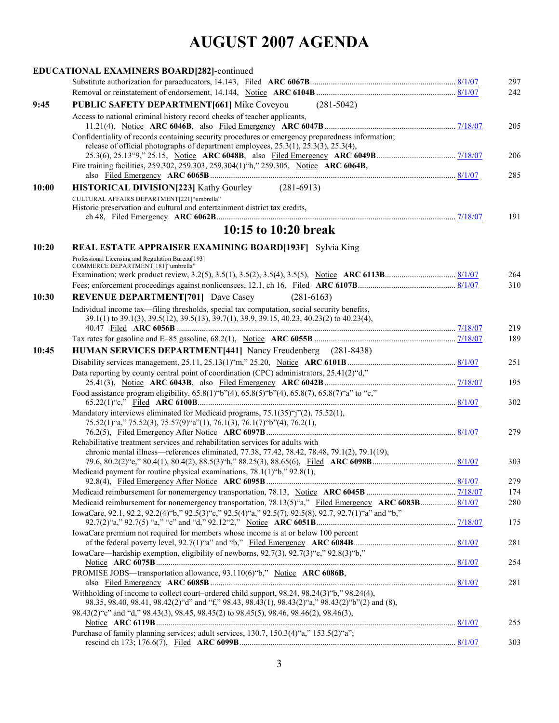|       | EDUCATIONAL EXAMINERS BOARD[282]-continued                                                                                                                                                         |            |
|-------|----------------------------------------------------------------------------------------------------------------------------------------------------------------------------------------------------|------------|
|       |                                                                                                                                                                                                    | 297        |
|       |                                                                                                                                                                                                    | 242        |
| 9:45  | <b>PUBLIC SAFETY DEPARTMENT[661] Mike Coveyou</b><br>$(281-5042)$                                                                                                                                  |            |
|       | Access to national criminal history record checks of teacher applicants,                                                                                                                           | 205        |
|       | Confidentiality of records containing security procedures or emergency preparedness information;                                                                                                   |            |
|       | release of official photographs of department employees, 25.3(1), 25.3(3), 25.3(4),                                                                                                                |            |
|       |                                                                                                                                                                                                    | 206        |
|       | Fire training facilities, 259.302, 259.303, 259.304(1)"h," 259.305, Notice ARC 6064B,                                                                                                              | 285        |
| 10:00 | HISTORICAL DIVISION[223] Kathy Gourley (281-6913)                                                                                                                                                  |            |
|       | CULTURAL AFFAIRS DEPARTMENT[221]"umbrella"                                                                                                                                                         |            |
|       | Historic preservation and cultural and entertainment district tax credits,                                                                                                                         |            |
|       |                                                                                                                                                                                                    | 191        |
|       | 10:15 to 10:20 break                                                                                                                                                                               |            |
| 10:20 | <b>REAL ESTATE APPRAISER EXAMINING BOARD[193F]</b> Sylvia King                                                                                                                                     |            |
|       | Professional Licensing and Regulation Bureau[193]                                                                                                                                                  |            |
|       | COMMERCE DEPARTMENT[181]"umbrella"                                                                                                                                                                 | 264        |
|       |                                                                                                                                                                                                    | 310        |
| 10:30 | <b>REVENUE DEPARTMENT[701]</b> Dave Casey<br>$(281 - 6163)$                                                                                                                                        |            |
|       | Individual income tax—filing thresholds, special tax computation, social security benefits,                                                                                                        |            |
|       | 39.1(1) to 39.1(3), 39.5(12), 39.5(13), 39.7(1), 39.9, 39.15, 40.23, 40.23(2) to 40.23(4),                                                                                                         |            |
|       |                                                                                                                                                                                                    | 219<br>189 |
| 10:45 | HUMAN SERVICES DEPARTMENT[441] Nancy Freudenberg (281-8438)                                                                                                                                        |            |
|       |                                                                                                                                                                                                    | 251        |
|       | Data reporting by county central point of coordination (CPC) administrators, 25.41(2)"d,"                                                                                                          |            |
|       |                                                                                                                                                                                                    | 195        |
|       | Food assistance program eligibility, 65.8(1)"b"(4), 65.8(5)"b"(4), 65.8(7), 65.8(7)"a" to "c,"                                                                                                     | 302        |
|       | Mandatory interviews eliminated for Medicaid programs, 75.1(35)"j"(2), 75.52(1),<br>75.52(1) "a," 75.52(3), 75.57(9) "a"(1), 76.1(3), 76.1(7) "b"(4), 76.2(1),                                     |            |
|       | Rehabilitative treatment services and rehabilitation services for adults with                                                                                                                      | 279        |
|       | chronic mental illness—references eliminated, 77.38, 77.42, 78.42, 78.48, 79.1(2), 79.1(19),                                                                                                       |            |
|       |                                                                                                                                                                                                    | 303        |
|       | Medicaid payment for routine physical examinations, $78.1(1)$ "b," $92.8(1)$ ,                                                                                                                     |            |
|       |                                                                                                                                                                                                    | 279<br>174 |
|       | Medicaid reimbursement for nonemergency transportation, 78.13(5)"a," Filed Emergency ARC 6083B 8/1/07                                                                                              | 280        |
|       | IowaCare, 92.1, 92.2, 92.2(4) "b," 92.5(3) "c," 92.5(4) "a," 92.5(7), 92.5(8), 92.7, 92.7(1) "a" and "b,"                                                                                          |            |
|       |                                                                                                                                                                                                    | 175        |
|       | IowaCare premium not required for members whose income is at or below 100 percent                                                                                                                  | 281        |
|       | IowaCare—hardship exemption, eligibility of newborns, 92.7(3), 92.7(3)"c," 92.8(3)"b,"                                                                                                             | 254        |
|       | PROMISE JOBS—transportation allowance, 93.110(6)"b," Notice ARC 6086B,                                                                                                                             | 281        |
|       | Withholding of income to collect court–ordered child support, 98.24, 98.24(3) "b," 98.24(4),<br>98.35, 98.40, 98.41, 98.42(2) "d" and "f," 98.43, 98.43(1), 98.43(2) "a," 98.43(2) "b"(2) and (8), |            |
|       | 98.43(2) "c" and "d," 98.43(3), 98.45, 98.45(2) to 98.45(5), 98.46, 98.46(2), 98.46(3),                                                                                                            |            |
|       | Purchase of family planning services; adult services, 130.7, 150.3(4)"a," 153.5(2)"a";                                                                                                             | 255        |
|       |                                                                                                                                                                                                    | 303        |